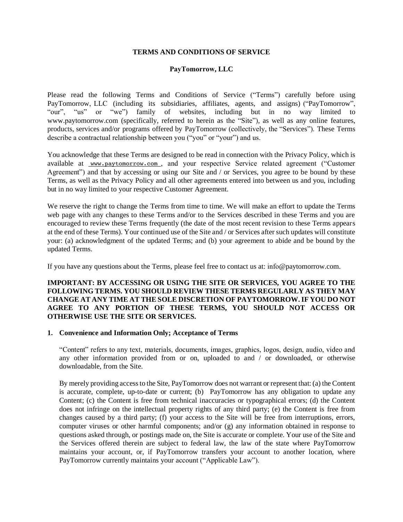#### **TERMS AND CONDITIONS OF SERVICE**

## **PayTomorrow, LLC**

Please read the following Terms and Conditions of Service ("Terms") carefully before using PayTomorrow, LLC (including its subsidiaries, affiliates, agents, and assigns) ("PayTomorrow", "our", "us" or "we") family of websites, including but in no way limited to www.paytomorrow.com (specifically, referred to herein as the "Site"), as well as any online features, products, services and/or programs offered by PayTomorrow (collectively, the "Services"). These Terms describe a contractual relationship between you ("you" or "your") and us.

You acknowledge that these Terms are designed to be read in connection with the Privacy Policy, which is available at www.paytomorrow.com, and your respective Service related agreement ("Customer Agreement") and that by accessing or using our Site and / or Services, you agree to be bound by these Terms, as well as the Privacy Policy and all other agreements entered into between us and you, including but in no way limited to your respective Customer Agreement.

We reserve the right to change the Terms from time to time. We will make an effort to update the Terms web page with any changes to these Terms and/or to the Services described in these Terms and you are encouraged to review these Terms frequently (the date of the most recent revision to these Terms appears at the end of these Terms). Your continued use of the Site and / or Services after such updates will constitute your: (a) acknowledgment of the updated Terms; and (b) your agreement to abide and be bound by the updated Terms.

If you have any questions about the Terms, please feel free to contact us at: info@paytomorrow.com.

### **IMPORTANT: BY ACCESSING OR USING THE SITE OR SERVICES, YOU AGREE TO THE FOLLOWING TERMS. YOU SHOULD REVIEW THESE TERMS REGULARLY AS THEY MAY CHANGE AT ANY TIME AT THE SOLE DISCRETION OF PAYTOMORROW.IF YOU DO NOT AGREE TO ANY PORTION OF THESE TERMS, YOU SHOULD NOT ACCESS OR OTHERWISE USE THE SITE OR SERVICES.**

#### **1. Convenience and Information Only; Acceptance of Terms**

"Content" refers to any text, materials, documents, images, graphics, logos, design, audio, video and any other information provided from or on, uploaded to and / or downloaded, or otherwise downloadable, from the Site.

By merely providing access to the Site, PayTomorrow does not warrant or represent that: (a) the Content is accurate, complete, up-to-date or current; (b) PayTomorrow has any obligation to update any Content; (c) the Content is free from technical inaccuracies or typographical errors; (d) the Content does not infringe on the intellectual property rights of any third party; (e) the Content is free from changes caused by a third party; (f) your access to the Site will be free from interruptions, errors, computer viruses or other harmful components; and/or (g) any information obtained in response to questions asked through, or postings made on, the Site is accurate or complete. Your use of the Site and the Services offered therein are subject to federal law, the law of the state where PayTomorrow maintains your account, or, if PayTomorrow transfers your account to another location, where PayTomorrow currently maintains your account ("Applicable Law").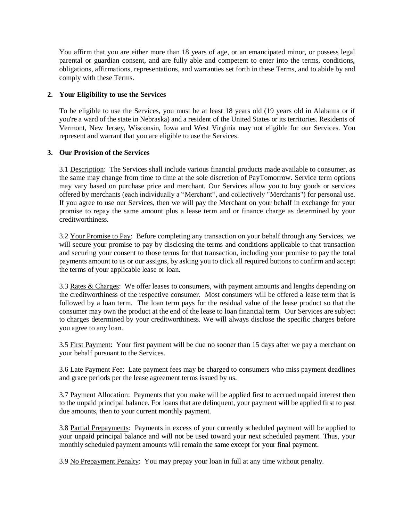You affirm that you are either more than 18 years of age, or an emancipated minor, or possess legal parental or guardian consent, and are fully able and competent to enter into the terms, conditions, obligations, affirmations, representations, and warranties set forth in these Terms, and to abide by and comply with these Terms.

## **2. Your Eligibility to use the Services**

To be eligible to use the Services, you must be at least 18 years old (19 years old in Alabama or if you're a ward of the state in Nebraska) and a resident of the United States or its territories. Residents of Vermont, New Jersey, Wisconsin, Iowa and West Virginia may not eligible for our Services. You represent and warrant that you are eligible to use the Services.

## **3. Our Provision of the Services**

3.1 Description: The Services shall include various financial products made available to consumer, as the same may change from time to time at the sole discretion of PayTomorrow. Service term options may vary based on purchase price and merchant. Our Services allow you to buy goods or services offered by merchants (each individually a "Merchant", and collectively "Merchants") for personal use. If you agree to use our Services, then we will pay the Merchant on your behalf in exchange for your promise to repay the same amount plus a lease term and or finance charge as determined by your creditworthiness.

3.2 Your Promise to Pay: Before completing any transaction on your behalf through any Services, we will secure your promise to pay by disclosing the terms and conditions applicable to that transaction and securing your consent to those terms for that transaction, including your promise to pay the total payments amount to us or our assigns, by asking you to click all required buttons to confirm and accept the terms of your applicable lease or loan.

3.3 Rates & Charges: We offer leases to consumers, with payment amounts and lengths depending on the creditworthiness of the respective consumer. Most consumers will be offered a lease term that is followed by a loan term. The loan term pays for the residual value of the lease product so that the consumer may own the product at the end of the lease to loan financial term. Our Services are subject to charges determined by your creditworthiness. We will always disclose the specific charges before you agree to any loan.

3.5 First Payment: Your first payment will be due no sooner than 15 days after we pay a merchant on your behalf pursuant to the Services.

3.6 Late Payment Fee: Late payment fees may be charged to consumers who miss payment deadlines and grace periods per the lease agreement terms issued by us.

3.7 Payment Allocation: Payments that you make will be applied first to accrued unpaid interest then to the unpaid principal balance. For loans that are delinquent, your payment will be applied first to past due amounts, then to your current monthly payment.

3.8 Partial Prepayments: Payments in excess of your currently scheduled payment will be applied to your unpaid principal balance and will not be used toward your next scheduled payment. Thus, your monthly scheduled payment amounts will remain the same except for your final payment.

3.9 No Prepayment Penalty: You may prepay your loan in full at any time without penalty.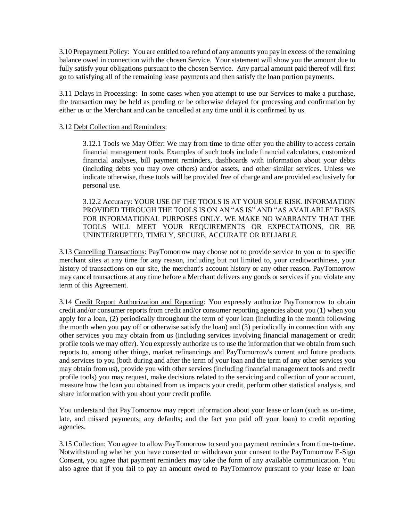3.10 Prepayment Policy: You are entitled to a refund of any amounts you pay in excess of the remaining balance owed in connection with the chosen Service. Your statement will show you the amount due to fully satisfy your obligations pursuant to the chosen Service. Any partial amount paid thereof will first go to satisfying all of the remaining lease payments and then satisfy the loan portion payments.

3.11 Delays in Processing: In some cases when you attempt to use our Services to make a purchase, the transaction may be held as pending or be otherwise delayed for processing and confirmation by either us or the Merchant and can be cancelled at any time until it is confirmed by us.

## 3.12 Debt Collection and Reminders:

3.12.1 Tools we May Offer: We may from time to time offer you the ability to access certain financial management tools. Examples of such tools include financial calculators, customized financial analyses, bill payment reminders, dashboards with information about your debts (including debts you may owe others) and/or assets, and other similar services. Unless we indicate otherwise, these tools will be provided free of charge and are provided exclusively for personal use.

3.12.2 Accuracy: YOUR USE OF THE TOOLS IS AT YOUR SOLE RISK. INFORMATION PROVIDED THROUGH THE TOOLS IS ON AN "AS IS" AND "AS AVAILABLE" BASIS FOR INFORMATIONAL PURPOSES ONLY. WE MAKE NO WARRANTY THAT THE TOOLS WILL MEET YOUR REQUIREMENTS OR EXPECTATIONS, OR BE UNINTERRUPTED, TIMELY, SECURE, ACCURATE OR RELIABLE.

3.13 Cancelling Transactions: PayTomorrow may choose not to provide service to you or to specific merchant sites at any time for any reason, including but not limited to, your creditworthiness, your history of transactions on our site, the merchant's account history or any other reason. PayTomorrow may cancel transactions at any time before a Merchant delivers any goods or services if you violate any term of this Agreement.

3.14 Credit Report Authorization and Reporting: You expressly authorize PayTomorrow to obtain credit and/or consumer reports from credit and/or consumer reporting agencies about you (1) when you apply for a loan, (2) periodically throughout the term of your loan (including in the month following the month when you pay off or otherwise satisfy the loan) and (3) periodically in connection with any other services you may obtain from us (including services involving financial management or credit profile tools we may offer). You expressly authorize us to use the information that we obtain from such reports to, among other things, market refinancings and PayTomorrow's current and future products and services to you (both during and after the term of your loan and the term of any other services you may obtain from us), provide you with other services (including financial management tools and credit profile tools) you may request, make decisions related to the servicing and collection of your account, measure how the loan you obtained from us impacts your credit, perform other statistical analysis, and share information with you about your credit profile.

You understand that PayTomorrow may report information about your lease or loan (such as on-time, late, and missed payments; any defaults; and the fact you paid off your loan) to credit reporting agencies.

3.15 Collection: You agree to allow PayTomorrow to send you payment reminders from time-to-time. Notwithstanding whether you have consented or withdrawn your consent to the PayTomorrow E-Sign Consent, you agree that payment reminders may take the form of any available communication. You also agree that if you fail to pay an amount owed to PayTomorrow pursuant to your lease or loan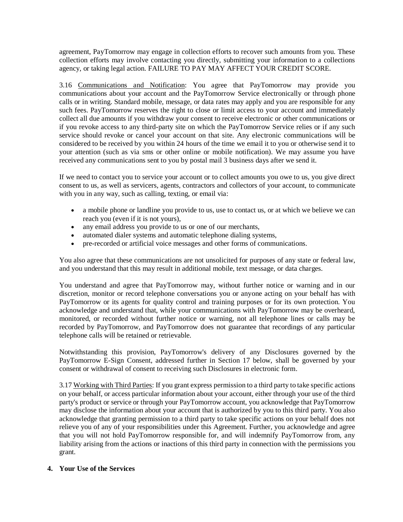agreement, PayTomorrow may engage in collection efforts to recover such amounts from you. These collection efforts may involve contacting you directly, submitting your information to a collections agency, or taking legal action. FAILURE TO PAY MAY AFFECT YOUR CREDIT SCORE.

3.16 Communications and Notification: You agree that PayTomorrow may provide you communications about your account and the PayTomorrow Service electronically or through phone calls or in writing. Standard mobile, message, or data rates may apply and you are responsible for any such fees. PayTomorrow reserves the right to close or limit access to your account and immediately collect all due amounts if you withdraw your consent to receive electronic or other communications or if you revoke access to any third-party site on which the PayTomorrow Service relies or if any such service should revoke or cancel your account on that site. Any electronic communications will be considered to be received by you within 24 hours of the time we email it to you or otherwise send it to your attention (such as via sms or other online or mobile notification). We may assume you have received any communications sent to you by postal mail 3 business days after we send it.

If we need to contact you to service your account or to collect amounts you owe to us, you give direct consent to us, as well as servicers, agents, contractors and collectors of your account, to communicate with you in any way, such as calling, texting, or email via:

- a mobile phone or landline you provide to us, use to contact us, or at which we believe we can reach you (even if it is not yours),
- any email address you provide to us or one of our merchants,
- automated dialer systems and automatic telephone dialing systems,
- pre-recorded or artificial voice messages and other forms of communications.

You also agree that these communications are not unsolicited for purposes of any state or federal law, and you understand that this may result in additional mobile, text message, or data charges.

You understand and agree that PayTomorrow may, without further notice or warning and in our discretion, monitor or record telephone conversations you or anyone acting on your behalf has with PayTomorrow or its agents for quality control and training purposes or for its own protection. You acknowledge and understand that, while your communications with PayTomorrow may be overheard, monitored, or recorded without further notice or warning, not all telephone lines or calls may be recorded by PayTomorrow, and PayTomorrow does not guarantee that recordings of any particular telephone calls will be retained or retrievable.

Notwithstanding this provision, PayTomorrow's delivery of any Disclosures governed by the PayTomorrow E-Sign Consent, addressed further in Section 17 below, shall be governed by your consent or withdrawal of consent to receiving such Disclosures in electronic form.

3.17 Working with Third Parties: If you grant express permission to a third party to take specific actions on your behalf, or access particular information about your account, either through your use of the third party's product or service or through your PayTomorrow account, you acknowledge that PayTomorrow may disclose the information about your account that is authorized by you to this third party. You also acknowledge that granting permission to a third party to take specific actions on your behalf does not relieve you of any of your responsibilities under this Agreement. Further, you acknowledge and agree that you will not hold PayTomorrow responsible for, and will indemnify PayTomorrow from, any liability arising from the actions or inactions of this third party in connection with the permissions you grant.

### **4. Your Use of the Services**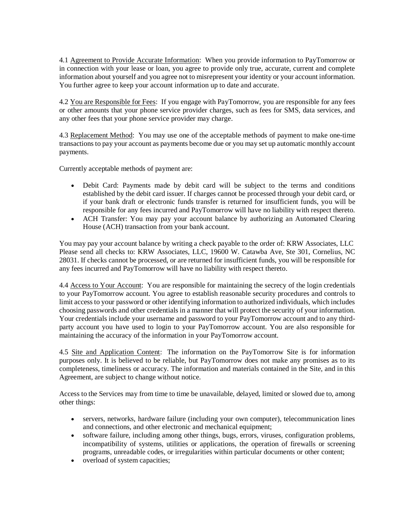4.1 Agreement to Provide Accurate Information: When you provide information to PayTomorrow or in connection with your lease or loan, you agree to provide only true, accurate, current and complete information about yourself and you agree not to misrepresent your identity or your account information. You further agree to keep your account information up to date and accurate.

4.2 You are Responsible for Fees: If you engage with PayTomorrow, you are responsible for any fees or other amounts that your phone service provider charges, such as fees for SMS, data services, and any other fees that your phone service provider may charge.

4.3 Replacement Method: You may use one of the acceptable methods of payment to make one-time transactions to pay your account as payments become due or you may set up automatic monthly account payments.

Currently acceptable methods of payment are:

- Debit Card: Payments made by debit card will be subject to the terms and conditions established by the debit card issuer. If charges cannot be processed through your debit card, or if your bank draft or electronic funds transfer is returned for insufficient funds, you will be responsible for any fees incurred and PayTomorrow will have no liability with respect thereto.
- ACH Transfer: You may pay your account balance by authorizing an Automated Clearing House (ACH) transaction from your bank account.

You may pay your account balance by writing a check payable to the order of: KRW Associates, LLC Please send all checks to: KRW Associates, LLC, 19600 W. Catawba Ave, Ste 301, Cornelius, NC 28031. If checks cannot be processed, or are returned for insufficient funds, you will be responsible for any fees incurred and PayTomorrow will have no liability with respect thereto.

4.4 Access to Your Account: You are responsible for maintaining the secrecy of the login credentials to your PayTomorrow account. You agree to establish reasonable security procedures and controls to limit access to your password or other identifying information to authorized individuals, which includes choosing passwords and other credentials in a manner that will protect the security of your information. Your credentials include your username and password to your PayTomorrow account and to any thirdparty account you have used to login to your PayTomorrow account. You are also responsible for maintaining the accuracy of the information in your PayTomorrow account.

4.5 Site and Application Content: The information on the PayTomorrow Site is for information purposes only. It is believed to be reliable, but PayTomorrow does not make any promises as to its completeness, timeliness or accuracy. The information and materials contained in the Site, and in this Agreement, are subject to change without notice.

Access to the Services may from time to time be unavailable, delayed, limited or slowed due to, among other things:

- servers, networks, hardware failure (including your own computer), telecommunication lines and connections, and other electronic and mechanical equipment;
- software failure, including among other things, bugs, errors, viruses, configuration problems, incompatibility of systems, utilities or applications, the operation of firewalls or screening programs, unreadable codes, or irregularities within particular documents or other content;
- overload of system capacities;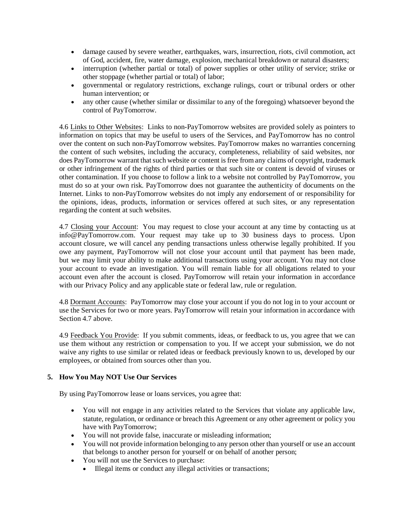- damage caused by severe weather, earthquakes, wars, insurrection, riots, civil commotion, act of God, accident, fire, water damage, explosion, mechanical breakdown or natural disasters;
- interruption (whether partial or total) of power supplies or other utility of service; strike or other stoppage (whether partial or total) of labor;
- governmental or regulatory restrictions, exchange rulings, court or tribunal orders or other human intervention; or
- any other cause (whether similar or dissimilar to any of the foregoing) whatsoever beyond the control of PayTomorrow.

4.6 Links to Other Websites: Links to non-PayTomorrow websites are provided solely as pointers to information on topics that may be useful to users of the Services, and PayTomorrow has no control over the content on such non-PayTomorrow websites. PayTomorrow makes no warranties concerning the content of such websites, including the accuracy, completeness, reliability of said websites, nor does PayTomorrow warrant that such website or content is free from any claims of copyright, trademark or other infringement of the rights of third parties or that such site or content is devoid of viruses or other contamination. If you choose to follow a link to a website not controlled by PayTomorrow, you must do so at your own risk. PayTomorrow does not guarantee the authenticity of documents on the Internet. Links to non-PayTomorrow websites do not imply any endorsement of or responsibility for the opinions, ideas, products, information or services offered at such sites, or any representation regarding the content at such websites.

4.7 Closing your Account: You may request to close your account at any time by contacting us at info@PayTomorrow.com. Your request may take up to 30 business days to process. Upon account closure, we will cancel any pending transactions unless otherwise legally prohibited. If you owe any payment, PayTomorrow will not close your account until that payment has been made, but we may limit your ability to make additional transactions using your account. You may not close your account to evade an investigation. You will remain liable for all obligations related to your account even after the account is closed. PayTomorrow will retain your information in accordance with our Privacy Policy and any applicable state or federal law, rule or regulation.

4.8 Dormant Accounts: PayTomorrow may close your account if you do not log in to your account or use the Services for two or more years. PayTomorrow will retain your information in accordance with Section 4.7 above.

4.9 Feedback You Provide: If you submit comments, ideas, or feedback to us, you agree that we can use them without any restriction or compensation to you. If we accept your submission, we do not waive any rights to use similar or related ideas or feedback previously known to us, developed by our employees, or obtained from sources other than you.

# **5. How You May NOT Use Our Services**

By using PayTomorrow lease or loans services, you agree that:

- You will not engage in any activities related to the Services that violate any applicable law, statute, regulation, or ordinance or breach this Agreement or any other agreement or policy you have with PayTomorrow;
- You will not provide false, inaccurate or misleading information;
- You will not provide information belonging to any person other than yourself or use an account that belongs to another person for yourself or on behalf of another person;
- You will not use the Services to purchase:
	- Illegal items or conduct any illegal activities or transactions;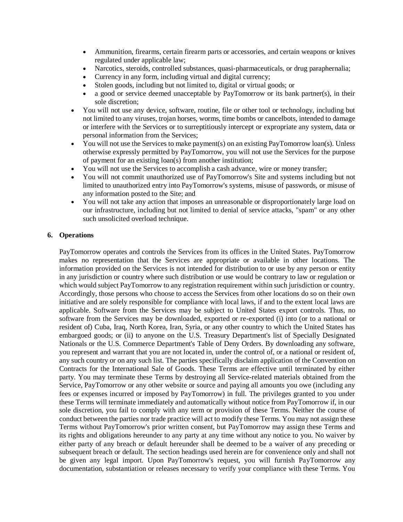- Ammunition, firearms, certain firearm parts or accessories, and certain weapons or knives regulated under applicable law;
- Narcotics, steroids, controlled substances, quasi-pharmaceuticals, or drug paraphernalia;
- Currency in any form, including virtual and digital currency;
- Stolen goods, including but not limited to, digital or virtual goods; or
- a good or service deemed unacceptable by PayTomorrow or its bank partner(s), in their sole discretion;
- You will not use any device, software, routine, file or other tool or technology, including but not limited to any viruses, trojan horses, worms, time bombs or cancelbots, intended to damage or interfere with the Services or to surreptitiously intercept or expropriate any system, data or personal information from the Services;
- You will not use the Services to make payment(s) on an existing PayTomorrow loan(s). Unless otherwise expressly permitted by PayTomorrow, you will not use the Services for the purpose of payment for an existing loan(s) from another institution;
- You will not use the Services to accomplish a cash advance, wire or money transfer;
- You will not commit unauthorized use of PayTomorrow's Site and systems including but not limited to unauthorized entry into PayTomorrow's systems, misuse of passwords, or misuse of any information posted to the Site; and
- You will not take any action that imposes an unreasonable or disproportionately large load on our infrastructure, including but not limited to denial of service attacks, "spam" or any other such unsolicited overload technique.

## **6. Operations**

PayTomorrow operates and controls the Services from its offices in the United States. PayTomorrow makes no representation that the Services are appropriate or available in other locations. The information provided on the Services is not intended for distribution to or use by any person or entity in any jurisdiction or country where such distribution or use would be contrary to law or regulation or which would subject PayTomorrow to any registration requirement within such jurisdiction or country. Accordingly, those persons who choose to access the Services from other locations do so on their own initiative and are solely responsible for compliance with local laws, if and to the extent local laws are applicable. Software from the Services may be subject to United States export controls. Thus, no software from the Services may be downloaded, exported or re-exported (i) into (or to a national or resident of) Cuba, Iraq, North Korea, Iran, Syria, or any other country to which the United States has embargoed goods; or (ii) to anyone on the U.S. Treasury Department's list of Specially Designated Nationals or the U.S. Commerce Department's Table of Deny Orders. By downloading any software, you represent and warrant that you are not located in, under the control of, or a national or resident of, any such country or on any such list. The parties specifically disclaim application of the Convention on Contracts for the International Sale of Goods. These Terms are effective until terminated by either party. You may terminate these Terms by destroying all Service-related materials obtained from the Service, PayTomorrow or any other website or source and paying all amounts you owe (including any fees or expenses incurred or imposed by PayTomorrow) in full. The privileges granted to you under these Terms will terminate immediately and automatically without notice from PayTomorrow if, in our sole discretion, you fail to comply with any term or provision of these Terms. Neither the course of conduct between the parties nor trade practice will act to modify these Terms. You may not assign these Terms without PayTomorrow's prior written consent, but PayTomorrow may assign these Terms and its rights and obligations hereunder to any party at any time without any notice to you. No waiver by either party of any breach or default hereunder shall be deemed to be a waiver of any preceding or subsequent breach or default. The section headings used herein are for convenience only and shall not be given any legal import. Upon PayTomorrow's request, you will furnish PayTomorrow any documentation, substantiation or releases necessary to verify your compliance with these Terms. You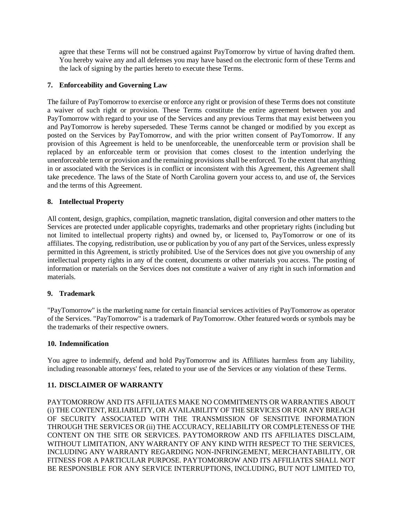agree that these Terms will not be construed against PayTomorrow by virtue of having drafted them. You hereby waive any and all defenses you may have based on the electronic form of these Terms and the lack of signing by the parties hereto to execute these Terms.

## **7. Enforceability and Governing Law**

The failure of PayTomorrow to exercise or enforce any right or provision of these Terms does not constitute a waiver of such right or provision. These Terms constitute the entire agreement between you and PayTomorrow with regard to your use of the Services and any previous Terms that may exist between you and PayTomorrow is hereby superseded. These Terms cannot be changed or modified by you except as posted on the Services by PayTomorrow, and with the prior written consent of PayTomorrow. If any provision of this Agreement is held to be unenforceable, the unenforceable term or provision shall be replaced by an enforceable term or provision that comes closest to the intention underlying the unenforceable term or provision and the remaining provisions shall be enforced. To the extent that anything in or associated with the Services is in conflict or inconsistent with this Agreement, this Agreement shall take precedence. The laws of the State of North Carolina govern your access to, and use of, the Services and the terms of this Agreement.

### **8. Intellectual Property**

All content, design, graphics, compilation, magnetic translation, digital conversion and other matters to the Services are protected under applicable copyrights, trademarks and other proprietary rights (including but not limited to intellectual property rights) and owned by, or licensed to, PayTomorrow or one of its affiliates. The copying, redistribution, use or publication by you of any part of the Services, unless expressly permitted in this Agreement, is strictly prohibited. Use of the Services does not give you ownership of any intellectual property rights in any of the content, documents or other materials you access. The posting of information or materials on the Services does not constitute a waiver of any right in such information and materials.

### **9. Trademark**

"PayTomorrow" is the marketing name for certain financial services activities of PayTomorrow as operator of the Services. "PayTomorrow" is a trademark of PayTomorrow. Other featured words or symbols may be the trademarks of their respective owners.

### **10. Indemnification**

You agree to indemnify, defend and hold PayTomorrow and its Affiliates harmless from any liability, including reasonable attorneys' fees, related to your use of the Services or any violation of these Terms.

### **11. DISCLAIMER OF WARRANTY**

PAYTOMORROW AND ITS AFFILIATES MAKE NO COMMITMENTS OR WARRANTIES ABOUT (i) THE CONTENT, RELIABILITY, OR AVAILABILITY OF THE SERVICES OR FOR ANY BREACH OF SECURITY ASSOCIATED WITH THE TRANSMISSION OF SENSITIVE INFORMATION THROUGH THE SERVICES OR (ii) THE ACCURACY, RELIABILITY OR COMPLETENESS OF THE CONTENT ON THE SITE OR SERVICES. PAYTOMORROW AND ITS AFFILIATES DISCLAIM, WITHOUT LIMITATION, ANY WARRANTY OF ANY KIND WITH RESPECT TO THE SERVICES, INCLUDING ANY WARRANTY REGARDING NON-INFRINGEMENT, MERCHANTABILITY, OR FITNESS FOR A PARTICULAR PURPOSE. PAYTOMORROW AND ITS AFFILIATES SHALL NOT BE RESPONSIBLE FOR ANY SERVICE INTERRUPTIONS, INCLUDING, BUT NOT LIMITED TO,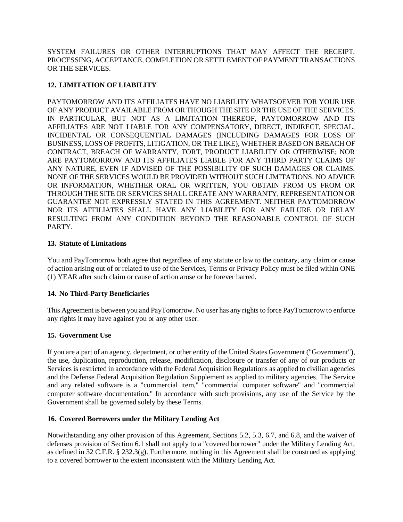SYSTEM FAILURES OR OTHER INTERRUPTIONS THAT MAY AFFECT THE RECEIPT, PROCESSING, ACCEPTANCE, COMPLETION OR SETTLEMENT OF PAYMENT TRANSACTIONS OR THE SERVICES.

# **12. LIMITATION OF LIABILITY**

PAYTOMORROW AND ITS AFFILIATES HAVE NO LIABILITY WHATSOEVER FOR YOUR USE OF ANY PRODUCT AVAILABLE FROM OR THOUGH THE SITE OR THE USE OF THE SERVICES. IN PARTICULAR, BUT NOT AS A LIMITATION THEREOF, PAYTOMORROW AND ITS AFFILIATES ARE NOT LIABLE FOR ANY COMPENSATORY, DIRECT, INDIRECT, SPECIAL, INCIDENTAL OR CONSEQUENTIAL DAMAGES (INCLUDING DAMAGES FOR LOSS OF BUSINESS, LOSS OF PROFITS, LITIGATION, OR THE LIKE), WHETHER BASED ON BREACH OF CONTRACT, BREACH OF WARRANTY, TORT, PRODUCT LIABILITY OR OTHERWISE; NOR ARE PAYTOMORROW AND ITS AFFILIATES LIABLE FOR ANY THIRD PARTY CLAIMS OF ANY NATURE, EVEN IF ADVISED OF THE POSSIBILITY OF SUCH DAMAGES OR CLAIMS. NONE OF THE SERVICES WOULD BE PROVIDED WITHOUT SUCH LIMITATIONS. NO ADVICE OR INFORMATION, WHETHER ORAL OR WRITTEN, YOU OBTAIN FROM US FROM OR THROUGH THE SITE OR SERVICES SHALL CREATE ANY WARRANTY, REPRESENTATION OR GUARANTEE NOT EXPRESSLY STATED IN THIS AGREEMENT. NEITHER PAYTOMORROW NOR ITS AFFILIATES SHALL HAVE ANY LIABILITY FOR ANY FAILURE OR DELAY RESULTING FROM ANY CONDITION BEYOND THE REASONABLE CONTROL OF SUCH PARTY.

## **13. Statute of Limitations**

You and PayTomorrow both agree that regardless of any statute or law to the contrary, any claim or cause of action arising out of or related to use of the Services, Terms or Privacy Policy must be filed within ONE (1) YEAR after such claim or cause of action arose or be forever barred.

# **14. No Third-Party Beneficiaries**

This Agreement is between you and PayTomorrow. No user has any rights to force PayTomorrow to enforce any rights it may have against you or any other user.

# **15. Government Use**

If you are a part of an agency, department, or other entity of the United States Government ("Government"), the use, duplication, reproduction, release, modification, disclosure or transfer of any of our products or Services is restricted in accordance with the Federal Acquisition Regulations as applied to civilian agencies and the Defense Federal Acquisition Regulation Supplement as applied to military agencies. The Service and any related software is a "commercial item," "commercial computer software" and "commercial computer software documentation." In accordance with such provisions, any use of the Service by the Government shall be governed solely by these Terms.

### **16. Covered Borrowers under the Military Lending Act**

Notwithstanding any other provision of this Agreement, Sections 5.2, 5.3, 6.7, and 6.8, and the waiver of defenses provision of Section 6.1 shall not apply to a "covered borrower" under the Military Lending Act, as defined in 32 C.F.R. § 232.3(g). Furthermore, nothing in this Agreement shall be construed as applying to a covered borrower to the extent inconsistent with the Military Lending Act.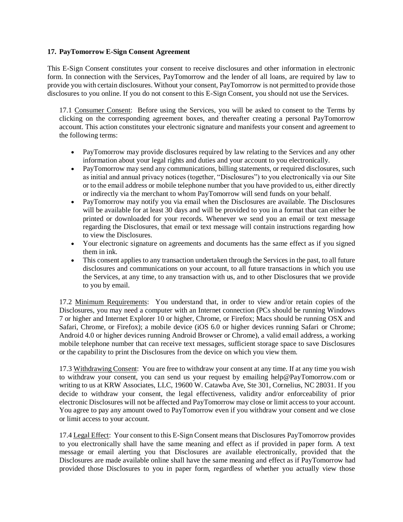### **17. PayTomorrow E-Sign Consent Agreement**

This E-Sign Consent constitutes your consent to receive disclosures and other information in electronic form. In connection with the Services, PayTomorrow and the lender of all loans, are required by law to provide you with certain disclosures. Without your consent, PayTomorrow is not permitted to provide those disclosures to you online. If you do not consent to this E-Sign Consent, you should not use the Services.

17.1 Consumer Consent: Before using the Services, you will be asked to consent to the Terms by clicking on the corresponding agreement boxes, and thereafter creating a personal PayTomorrow account. This action constitutes your electronic signature and manifests your consent and agreement to the following terms:

- PayTomorrow may provide disclosures required by law relating to the Services and any other information about your legal rights and duties and your account to you electronically.
- PayTomorrow may send any communications, billing statements, or required disclosures, such as initial and annual privacy notices (together, "Disclosures") to you electronically via our Site or to the email address or mobile telephone number that you have provided to us, either directly or indirectly via the merchant to whom PayTomorrow will send funds on your behalf.
- PayTomorrow may notify you via email when the Disclosures are available. The Disclosures will be available for at least 30 days and will be provided to you in a format that can either be printed or downloaded for your records. Whenever we send you an email or text message regarding the Disclosures, that email or text message will contain instructions regarding how to view the Disclosures.
- Your electronic signature on agreements and documents has the same effect as if you signed them in ink.
- This consent applies to any transaction undertaken through the Services in the past, to all future disclosures and communications on your account, to all future transactions in which you use the Services, at any time, to any transaction with us, and to other Disclosures that we provide to you by email.

17.2 Minimum Requirements: You understand that, in order to view and/or retain copies of the Disclosures, you may need a computer with an Internet connection (PCs should be running Windows 7 or higher and Internet Explorer 10 or higher, Chrome, or Firefox; Macs should be running OSX and Safari, Chrome, or Firefox); a mobile device (iOS 6.0 or higher devices running Safari or Chrome; Android 4.0 or higher devices running Android Browser or Chrome), a valid email address, a working mobile telephone number that can receive text messages, sufficient storage space to save Disclosures or the capability to print the Disclosures from the device on which you view them.

17.3 Withdrawing Consent: You are free to withdraw your consent at any time. If at any time you wish to withdraw your consent, you can send us your request by emailing help@PayTomorrow.com or writing to us at KRW Associates, LLC, 19600 W. Catawba Ave, Ste 301, Cornelius, NC 28031. If you decide to withdraw your consent, the legal effectiveness, validity and/or enforceability of prior electronic Disclosures will not be affected and PayTomorrow may close or limit access to your account. You agree to pay any amount owed to PayTomorrow even if you withdraw your consent and we close or limit access to your account.

17.4 Legal Effect: Your consent to this E-Sign Consent means that Disclosures PayTomorrow provides to you electronically shall have the same meaning and effect as if provided in paper form. A text message or email alerting you that Disclosures are available electronically, provided that the Disclosures are made available online shall have the same meaning and effect as if PayTomorrow had provided those Disclosures to you in paper form, regardless of whether you actually view those